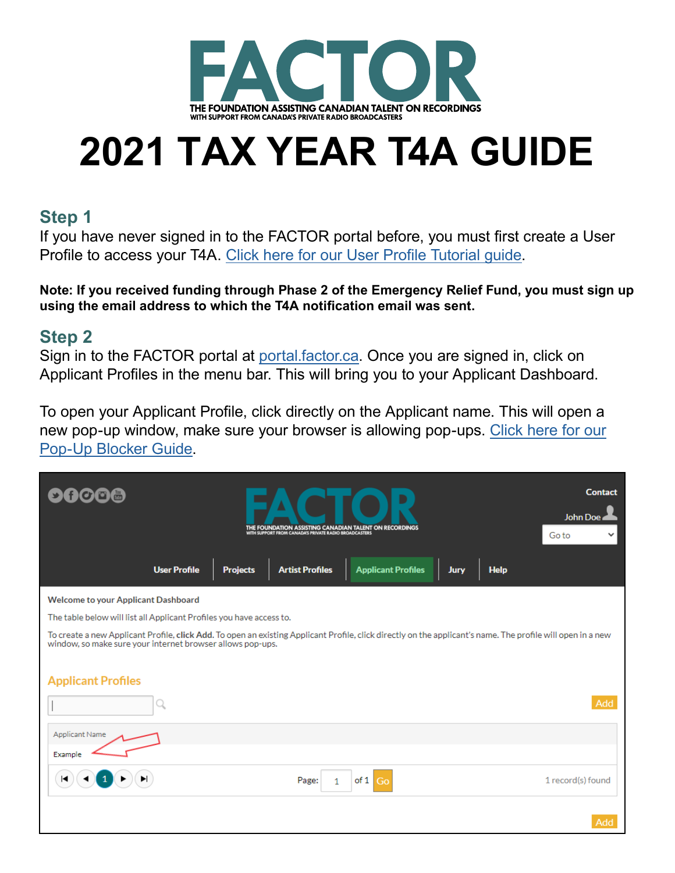

# **2021 TAX YEAR T4A GUIDE**

#### **Step 1**

If you have never signed in to the FACTOR portal before, you must first create a User Profile to access your T4A. [Click here for our User Profile Tutorial guide](https://factorportalprod.blob.core.windows.net/portal/Documents/Updates/FACTOR_User_Profile_Tutorial.pdf).

**Note: If you received funding through Phase 2 of the Emergency Relief Fund, you must sign up using the email address to which the T4A notification email was sent.**

#### **Step 2**

Sign in to the FACTOR portal at [portal.factor.ca.](http://portal.factor.ca) Once you are signed in, click on Applicant Profiles in the menu bar. This will bring you to your Applicant Dashboard.

To open your Applicant Profile, click directly on the Applicant name. This will open a new pop-up window, make sure your browser is allowing pop-ups. [Click here for our](https://factorportalprod.blob.core.windows.net/portal/Documents/Updates/FACTOR_Pop-Up_Blocker_Tutorial.pdf)  [Pop-Up Blocker Guide.](https://factorportalprod.blob.core.windows.net/portal/Documents/Updates/FACTOR_Pop-Up_Blocker_Tutorial.pdf)

| $\rightarrow$                                                                                                                                                                                                                                          |                     | D<br>THE FOUNDATION ASSISTING CANADIAN TALENT ON RECORDINGS<br>WITH SUPPORT FROM CANADA'S PRIVATE RADIO BROADCASTERS |                        |                           |      |             |                   |  |  |
|--------------------------------------------------------------------------------------------------------------------------------------------------------------------------------------------------------------------------------------------------------|---------------------|----------------------------------------------------------------------------------------------------------------------|------------------------|---------------------------|------|-------------|-------------------|--|--|
|                                                                                                                                                                                                                                                        | <b>User Profile</b> | <b>Projects</b>                                                                                                      | <b>Artist Profiles</b> | <b>Applicant Profiles</b> | Jury | <b>Help</b> |                   |  |  |
| Welcome to your Applicant Dashboard                                                                                                                                                                                                                    |                     |                                                                                                                      |                        |                           |      |             |                   |  |  |
| The table below will list all Applicant Profiles you have access to.                                                                                                                                                                                   |                     |                                                                                                                      |                        |                           |      |             |                   |  |  |
| To create a new Applicant Profile, click Add. To open an existing Applicant Profile, click directly on the applicant's name. The profile will open in a new<br>window, so make sure your internet browser allows pop-ups.<br><b>Applicant Profiles</b> |                     |                                                                                                                      |                        |                           |      |             |                   |  |  |
|                                                                                                                                                                                                                                                        |                     |                                                                                                                      |                        |                           |      |             | Add               |  |  |
| <b>Applicant Name</b>                                                                                                                                                                                                                                  |                     |                                                                                                                      |                        |                           |      |             |                   |  |  |
| Example                                                                                                                                                                                                                                                |                     |                                                                                                                      |                        |                           |      |             |                   |  |  |
| ▶<br>ю                                                                                                                                                                                                                                                 |                     |                                                                                                                      | Page:<br>1             | of 1<br>Go                |      |             | 1 record(s) found |  |  |
|                                                                                                                                                                                                                                                        |                     |                                                                                                                      |                        |                           |      |             | Add               |  |  |